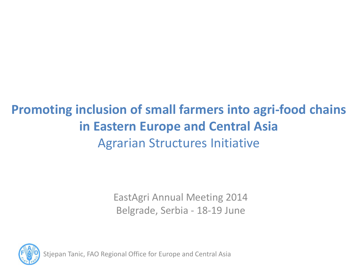### **Promoting inclusion of small farmers into agri-food chains in Eastern Europe and Central Asia**  Agrarian Structures Initiative

EastAgri Annual Meeting 2014 Belgrade, Serbia - 18-19 June



Stjepan Tanic, FAO Regional Office for Europe and Central Asia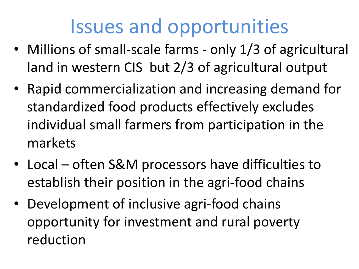# Issues and opportunities

- Millions of small-scale farms only 1/3 of agricultural land in western CIS but 2/3 of agricultural output
- Rapid commercialization and increasing demand for standardized food products effectively excludes individual small farmers from participation in the markets
- Local often S&M processors have difficulties to establish their position in the agri-food chains
- Development of inclusive agri-food chains opportunity for investment and rural poverty reduction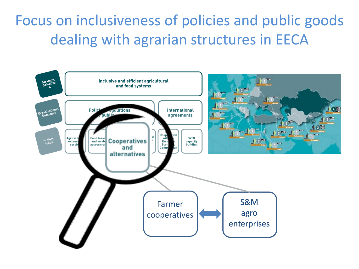### Focus on inclusiveness of policies and public goods dealing with agrarian structures in EECA

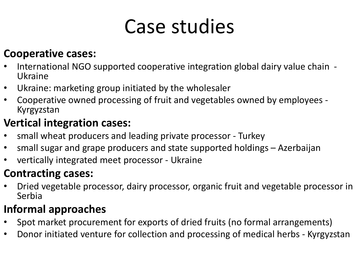# Case studies

#### **Cooperative cases:**

- International NGO supported cooperative integration global dairy value chain Ukraine
- Ukraine: marketing group initiated by the wholesaler
- Cooperative owned processing of fruit and vegetables owned by employees Kyrgyzstan

#### **Vertical integration cases:**

- small wheat producers and leading private processor Turkey
- small sugar and grape producers and state supported holdings Azerbaijan
- vertically integrated meet processor Ukraine

#### **Contracting cases:**

• Dried vegetable processor, dairy processor, organic fruit and vegetable processor in Serbia

#### **Informal approaches**

- Spot market procurement for exports of dried fruits (no formal arrangements)
- Donor initiated venture for collection and processing of medical herbs Kyrgyzstan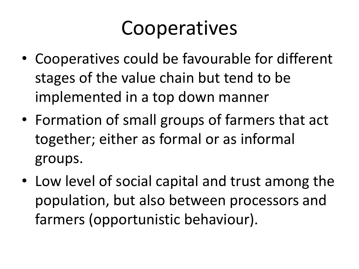# **Cooperatives**

- Cooperatives could be favourable for different stages of the value chain but tend to be implemented in a top down manner
- Formation of small groups of farmers that act together; either as formal or as informal groups.
- Low level of social capital and trust among the population, but also between processors and farmers (opportunistic behaviour).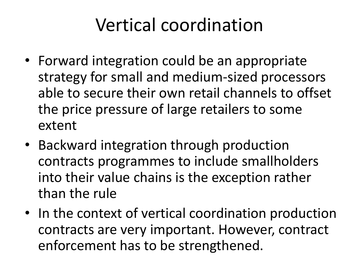## Vertical coordination

- Forward integration could be an appropriate strategy for small and medium-sized processors able to secure their own retail channels to offset the price pressure of large retailers to some extent
- Backward integration through production contracts programmes to include smallholders into their value chains is the exception rather than the rule
- In the context of vertical coordination production contracts are very important. However, contract enforcement has to be strengthened.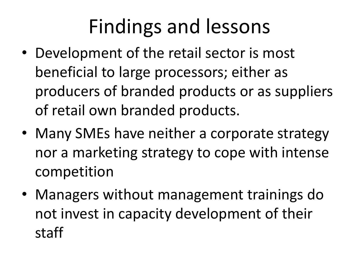# Findings and lessons

- Development of the retail sector is most beneficial to large processors; either as producers of branded products or as suppliers of retail own branded products.
- Many SMEs have neither a corporate strategy nor a marketing strategy to cope with intense competition
- Managers without management trainings do not invest in capacity development of their staff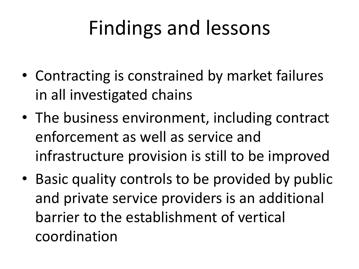# Findings and lessons

- Contracting is constrained by market failures in all investigated chains
- The business environment, including contract enforcement as well as service and infrastructure provision is still to be improved
- Basic quality controls to be provided by public and private service providers is an additional barrier to the establishment of vertical coordination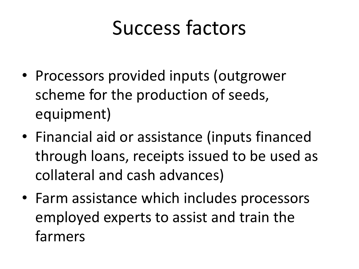# Success factors

- Processors provided inputs (outgrower scheme for the production of seeds, equipment)
- Financial aid or assistance (inputs financed through loans, receipts issued to be used as collateral and cash advances)
- Farm assistance which includes processors employed experts to assist and train the farmers